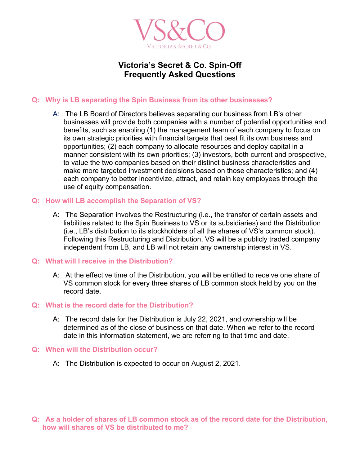

# **Victoria's Secret & Co. Spin-Off Frequently Asked Questions**

## **Q: Why is LB separating the Spin Business from its other businesses?**

A: The LB Board of Directors believes separating our business from LB's other businesses will provide both companies with a number of potential opportunities and benefits, such as enabling (1) the management team of each company to focus on its own strategic priorities with financial targets that best fit its own business and opportunities; (2) each company to allocate resources and deploy capital in a manner consistent with its own priorities; (3) investors, both current and prospective, to value the two companies based on their distinct business characteristics and make more targeted investment decisions based on those characteristics; and (4) each company to better incentivize, attract, and retain key employees through the use of equity compensation.

### **Q: How will LB accomplish the Separation of VS?**

A: The Separation involves the Restructuring (i.e., the transfer of certain assets and liabilities related to the Spin Business to VS or its subsidiaries) and the Distribution (i.e., LB's distribution to its stockholders of all the shares of VS's common stock). Following this Restructuring and Distribution, VS will be a publicly traded company independent from LB, and LB will not retain any ownership interest in VS.

### **Q: What will I receive in the Distribution?**

A: At the effective time of the Distribution, you will be entitled to receive one share of VS common stock for every three shares of LB common stock held by you on the record date.

### **Q: What is the record date for the Distribution?**

A: The record date for the Distribution is July 22, 2021, and ownership will be determined as of the close of business on that date. When we refer to the record date in this information statement, we are referring to that time and date.

#### **Q: When will the Distribution occur?**

A: The Distribution is expected to occur on August 2, 2021.

**Q: As a holder of shares of LB common stock as of the record date for the Distribution, how will shares of VS be distributed to me?**